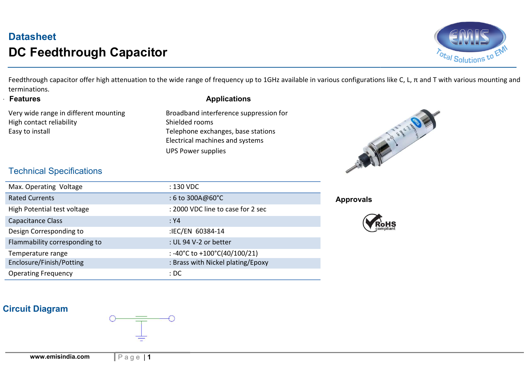# **Datasheet** DC Feedthrough Capacitor



 Feedthrough capacitor offer high attenuation to the wide range of frequency up to 1GHz available in various configurations like C, L, π and T with various mounting and terminations.

. Features

Very wide range in different mounting High contact reliability **Shielded rooms** Easy to install **Easy** to install **Telephone exchanges**, base stations

#### Applications

 Electrical machines and systems Shielded rooms<br>Telephone exchange<br>Electrical machines a<br>UPS Power supplies Broadband interference suppression for



#### Technical Specifications

| Max. Operating Voltage        | : 130 VDC                                            |
|-------------------------------|------------------------------------------------------|
| <b>Rated Currents</b>         | $: 6 \text{ to } 300 \text{A} @ 60^{\circ} \text{C}$ |
| High Potential test voltage   | : 2000 VDC line to case for 2 sec                    |
| Capacitance Class             | : Y4                                                 |
| Design Corresponding to       | :IEC/EN 60384-14                                     |
| Flammability corresponding to | : UL 94 V-2 or better                                |
| Temperature range             | : -40°C to +100°C(40/100/21)                         |
| Enclosure/Finish/Potting      | : Brass with Nickel plating/Epoxy                    |
| <b>Operating Frequency</b>    | :DC                                                  |

#### Approvals



#### Circuit Diagram

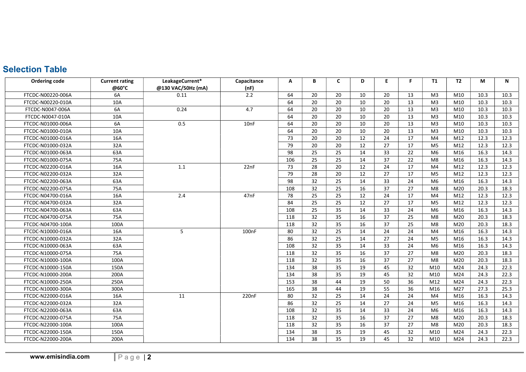## **Selection Table**

| <b>Ordering code</b> | <b>Current rating</b><br>@60°C | LeakageCurrent*<br>@130 VAC/50Hz (mA) | Capacitance<br>(nF) | A   | В  | C  | D  | E  | F. | <b>T1</b>      | <b>T2</b>       | М    | N    |
|----------------------|--------------------------------|---------------------------------------|---------------------|-----|----|----|----|----|----|----------------|-----------------|------|------|
| FTCDC-N00220-006A    | 6A                             | 0.11                                  | 2.2                 | 64  | 20 | 20 | 10 | 20 | 13 | M <sub>3</sub> | M10             | 10.3 | 10.3 |
| FTCDC-N00220-010A    | 10A                            |                                       |                     | 64  | 20 | 20 | 10 | 20 | 13 | M <sub>3</sub> | M10             | 10.3 | 10.3 |
| FTCDC-N0047-006A     | 6A                             | 0.24                                  | 4.7                 | 64  | 20 | 20 | 10 | 20 | 13 | M <sub>3</sub> | M10             | 10.3 | 10.3 |
| FTCDC-N0047-010A     | 10A                            |                                       |                     | 64  | 20 | 20 | 10 | 20 | 13 | M <sub>3</sub> | M10             | 10.3 | 10.3 |
| FTCDC-N01000-006A    | 6A                             | 0.5                                   | 10nF                | 64  | 20 | 20 | 10 | 20 | 13 | M <sub>3</sub> | M10             | 10.3 | 10.3 |
| FTCDC-N01000-010A    | 10A                            |                                       |                     | 64  | 20 | 20 | 10 | 20 | 13 | M <sub>3</sub> | M10             | 10.3 | 10.3 |
| FTCDC-N01000-016A    | 16A                            |                                       |                     | 73  | 20 | 20 | 12 | 24 | 17 | M <sub>4</sub> | M12             | 12.3 | 12.3 |
| FTCDC-N01000-032A    | 32A                            |                                       |                     | 79  | 20 | 20 | 12 | 27 | 17 | M <sub>5</sub> | M12             | 12.3 | 12.3 |
| FTCDC-N01000-063A    | 63A                            |                                       |                     | 98  | 25 | 25 | 14 | 33 | 22 | M <sub>6</sub> | M16             | 16.3 | 14.3 |
| FTCDC-N01000-075A    | 75A                            |                                       |                     | 106 | 25 | 25 | 14 | 37 | 22 | M8             | M16             | 16.3 | 14.3 |
| FTCDC-N02200-016A    | 16A                            | 1.1                                   | 22nF                | 73  | 28 | 20 | 12 | 24 | 17 | M <sub>4</sub> | M12             | 12.3 | 12.3 |
| FTCDC-N02200-032A    | 32A                            |                                       |                     | 79  | 28 | 20 | 12 | 27 | 17 | M <sub>5</sub> | M12             | 12.3 | 12.3 |
| FTCDC-N02200-063A    | 63A                            |                                       |                     | 98  | 32 | 25 | 14 | 33 | 24 | M <sub>6</sub> | M16             | 16.3 | 14.3 |
| FTCDC-N02200-075A    | 75A                            |                                       |                     | 108 | 32 | 25 | 16 | 37 | 27 | M8             | M20             | 20.3 | 18.3 |
| FTCDC-N04700-016A    | 16A                            | 2.4                                   | 47nF                | 78  | 25 | 25 | 12 | 24 | 17 | M4             | M12             | 12.3 | 12.3 |
| FTCDC-N04700-032A    | 32A                            |                                       |                     | 84  | 25 | 25 | 12 | 27 | 17 | M <sub>5</sub> | M12             | 12.3 | 12.3 |
| FTCDC-N04700-063A    | 63A                            |                                       |                     | 108 | 25 | 35 | 14 | 33 | 24 | M <sub>6</sub> | M16             | 16.3 | 14.3 |
| FTCDC-N04700-075A    | 75A                            |                                       |                     | 118 | 32 | 35 | 16 | 37 | 25 | M8             | M20             | 20.3 | 18.3 |
| FTCDC-N04700-100A    | 100A                           |                                       |                     | 118 | 32 | 35 | 16 | 37 | 25 | M8             | M20             | 20.3 | 18.3 |
| FTCDC-N10000-016A    | 16A                            | 5                                     | 100 <sub>n</sub> F  | 80  | 32 | 25 | 14 | 24 | 24 | M4             | M16             | 16.3 | 14.3 |
| FTCDC-N10000-032A    | 32A                            |                                       |                     | 86  | 32 | 25 | 14 | 27 | 24 | M <sub>5</sub> | M16             | 16.3 | 14.3 |
| FTCDC-N10000-063A    | 63A                            |                                       |                     | 108 | 32 | 35 | 14 | 33 | 24 | M <sub>6</sub> | M16             | 16.3 | 14.3 |
| FTCDC-N10000-075A    | 75A                            |                                       |                     | 118 | 32 | 35 | 16 | 37 | 27 | M8             | M20             | 20.3 | 18.3 |
| FTCDC-N10000-100A    | 100A                           |                                       |                     | 118 | 32 | 35 | 16 | 37 | 27 | M8             | M20             | 20.3 | 18.3 |
| FTCDC-N10000-150A    | 150A                           |                                       |                     | 134 | 38 | 35 | 19 | 45 | 32 | M10            | M24             | 24.3 | 22.3 |
| FTCDC-N10000-200A    | 200A                           |                                       |                     | 134 | 38 | 35 | 19 | 45 | 32 | M10            | M <sub>24</sub> | 24.3 | 22.3 |
| FTCDC-N10000-250A    | 250A                           |                                       |                     | 153 | 38 | 44 | 19 | 50 | 36 | M12            | M <sub>24</sub> | 24.3 | 22.3 |
| FTCDC-N10000-300A    | 300A                           |                                       |                     | 165 | 38 | 44 | 19 | 55 | 36 | M16            | M27             | 27.3 | 25.3 |
| FTCDC-N22000-016A    | 16A                            | 11                                    | 220 <sub>nF</sub>   | 80  | 32 | 25 | 14 | 24 | 24 | M <sub>4</sub> | M16             | 16.3 | 14.3 |
| FTCDC-N22000-032A    | 32A                            |                                       |                     | 86  | 32 | 25 | 14 | 27 | 24 | M <sub>5</sub> | M16             | 16.3 | 14.3 |
| FTCDC-N22000-063A    | 63A                            |                                       |                     | 108 | 32 | 35 | 14 | 33 | 24 | M <sub>6</sub> | M16             | 16.3 | 14.3 |
| FTCDC-N22000-075A    | 75A                            |                                       |                     | 118 | 32 | 35 | 16 | 37 | 27 | M8             | M20             | 20.3 | 18.3 |
| FTCDC-N22000-100A    | 100A                           |                                       |                     | 118 | 32 | 35 | 16 | 37 | 27 | M8             | M20             | 20.3 | 18.3 |
| FTCDC-N22000-150A    | 150A                           |                                       |                     | 134 | 38 | 35 | 19 | 45 | 32 | M10            | M24             | 24.3 | 22.3 |
| FTCDC-N22000-200A    | 200A                           |                                       |                     | 134 | 38 | 35 | 19 | 45 | 32 | M10            | M24             | 24.3 | 22.3 |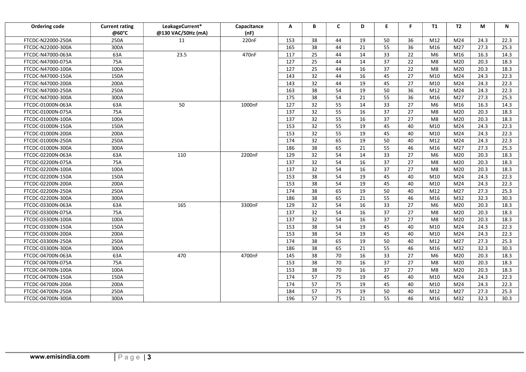| Ordering code     | <b>Current rating</b><br>@60°C | LeakageCurrent*<br>@130 VAC/50Hz (mA) | Capacitance<br>(nF) | A   | В  | C  | D  | E. | F.              | T1             | T2  | М    | N    |
|-------------------|--------------------------------|---------------------------------------|---------------------|-----|----|----|----|----|-----------------|----------------|-----|------|------|
| FTCDC-N22000-250A | 250A                           | 11                                    | 220nF               | 153 | 38 | 44 | 19 | 50 | 36              | M12            | M24 | 24.3 | 22.3 |
| FTCDC-N22000-300A | 300A                           |                                       |                     | 165 | 38 | 44 | 21 | 55 | 36              | M16            | M27 | 27.3 | 25.3 |
| FTCDC-N47000-063A | 63A                            | 23.5                                  | 470nF               | 117 | 25 | 44 | 14 | 33 | 22              | M <sub>6</sub> | M16 | 16.3 | 14.3 |
| FTCDC-N47000-075A | 75A                            |                                       |                     | 127 | 25 | 44 | 14 | 37 | 22              | M8             | M20 | 20.3 | 18.3 |
| FTCDC-N47000-100A | 100A                           |                                       |                     | 127 | 25 | 44 | 16 | 37 | 22              | M8             | M20 | 20.3 | 18.3 |
| FTCDC-N47000-150A | 150A                           |                                       |                     | 143 | 32 | 44 | 16 | 45 | 27              | M10            | M24 | 24.3 | 22.3 |
| FTCDC-N47000-200A | 200A                           |                                       |                     | 143 | 32 | 44 | 19 | 45 | 27              | M10            | M24 | 24.3 | 22.3 |
| FTCDC-N47000-250A | 250A                           |                                       |                     | 163 | 38 | 54 | 19 | 50 | $\overline{36}$ | M12            | M24 | 24.3 | 22.3 |
| FTCDC-N47000-300A | 300A                           |                                       |                     | 175 | 38 | 54 | 21 | 55 | 36              | M16            | M27 | 27.3 | 25.3 |
| FTCDC-01000N-063A | 63A                            | 50                                    | 1000nF              | 127 | 32 | 55 | 14 | 33 | 27              | M <sub>6</sub> | M16 | 16.3 | 14.3 |
| FTCDC-01000N-075A | 75A                            |                                       |                     | 137 | 32 | 55 | 16 | 37 | 27              | M8             | M20 | 20.3 | 18.3 |
| FTCDC-01000N-100A | 100A                           |                                       |                     | 137 | 32 | 55 | 16 | 37 | 27              | M8             | M20 | 20.3 | 18.3 |
| FTCDC-01000N-150A | 150A                           |                                       |                     | 153 | 32 | 55 | 19 | 45 | 40              | M10            | M24 | 24.3 | 22.3 |
| FTCDC-01000N-200A | 200A                           |                                       |                     | 153 | 32 | 55 | 19 | 45 | 40              | M10            | M24 | 24.3 | 22.3 |
| FTCDC-01000N-250A | 250A                           |                                       |                     | 174 | 32 | 65 | 19 | 50 | 40              | M12            | M24 | 24.3 | 22.3 |
| FTCDC-01000N-300A | 300A                           |                                       |                     | 186 | 38 | 65 | 21 | 55 | 46              | M16            | M27 | 27.3 | 25.3 |
| FTCDC-02200N-063A | 63A                            | 110                                   | 2200nF              | 129 | 32 | 54 | 14 | 33 | 27              | M <sub>6</sub> | M20 | 20.3 | 18.3 |
| FTCDC-02200N-075A | 75A                            |                                       |                     | 137 | 32 | 54 | 16 | 37 | 27              | M <sub>8</sub> | M20 | 20.3 | 18.3 |
| FTCDC-02200N-100A | 100A                           |                                       |                     | 137 | 32 | 54 | 16 | 37 | 27              | M8             | M20 | 20.3 | 18.3 |
| FTCDC-02200N-150A | 150A                           |                                       |                     | 153 | 38 | 54 | 19 | 45 | 40              | M10            | M24 | 24.3 | 22.3 |
| FTCDC-02200N-200A | 200A                           |                                       |                     | 153 | 38 | 54 | 19 | 45 | 40              | M10            | M24 | 24.3 | 22.3 |
| FTCDC-02200N-250A | 250A                           |                                       |                     | 174 | 38 | 65 | 19 | 50 | 40              | M12            | M27 | 27.3 | 25.3 |
| FTCDC-02200N-300A | 300A                           |                                       |                     | 186 | 38 | 65 | 21 | 55 | 46              | M16            | M32 | 32.3 | 30.3 |
| FTCDC-03300N-063A | 63A                            | 165                                   | 3300nF              | 129 | 32 | 54 | 16 | 33 | 27              | M <sub>6</sub> | M20 | 20.3 | 18.3 |
| FTCDC-03300N-075A | 75A                            |                                       |                     | 137 | 32 | 54 | 16 | 37 | 27              | M <sub>8</sub> | M20 | 20.3 | 18.3 |
| FTCDC-03300N-100A | 100A                           |                                       |                     | 137 | 32 | 54 | 16 | 37 | 27              | M8             | M20 | 20.3 | 18.3 |
| FTCDC-03300N-150A | 150A                           |                                       |                     | 153 | 38 | 54 | 19 | 45 | 40              | M10            | M24 | 24.3 | 22.3 |
| FTCDC-03300N-200A | 200A                           |                                       |                     | 153 | 38 | 54 | 19 | 45 | 40              | M10            | M24 | 24.3 | 22.3 |
| FTCDC-03300N-250A | 250A                           |                                       |                     | 174 | 38 | 65 | 19 | 50 | 40              | M12            | M27 | 27.3 | 25.3 |
| FTCDC-03300N-300A | 300A                           |                                       |                     | 186 | 38 | 65 | 21 | 55 | 46              | M16            | M32 | 32.3 | 30.3 |
| FTCDC-04700N-063A | 63A                            | 470                                   | 4700nF              | 145 | 38 | 70 | 16 | 33 | 27              | M <sub>6</sub> | M20 | 20.3 | 18.3 |
| FTCDC-04700N-075A | 75A                            |                                       |                     | 153 | 38 | 70 | 16 | 37 | 27              | M8             | M20 | 20.3 | 18.3 |
| FTCDC-04700N-100A | 100A                           |                                       |                     | 153 | 38 | 70 | 16 | 37 | 27              | M8             | M20 | 20.3 | 18.3 |
| FTCDC-04700N-150A | 150A                           |                                       |                     | 174 | 57 | 75 | 19 | 45 | 40              | M10            | M24 | 24.3 | 22.3 |
| FTCDC-04700N-200A | 200A                           |                                       |                     | 174 | 57 | 75 | 19 | 45 | 40              | M10            | M24 | 24.3 | 22.3 |
| FTCDC-04700N-250A | 250A                           |                                       |                     | 184 | 57 | 75 | 19 | 50 | 40              | M12            | M27 | 27.3 | 25.3 |
| FTCDC-04700N-300A | 300A                           |                                       |                     | 196 | 57 | 75 | 21 | 55 | 46              | M16            | M32 | 32.3 | 30.3 |